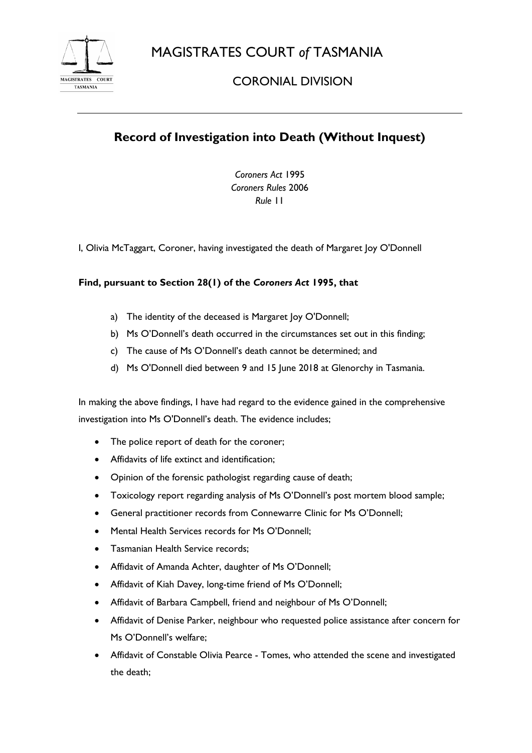MAGISTRATES COURT *of* TASMANIA



## CORONIAL DIVISION

# **Record of Investigation into Death (Without Inquest)**

*Coroners Act* 1995 *Coroners Rules* 2006 *Rule* 11

I, Olivia McTaggart, Coroner, having investigated the death of Margaret Joy O'Donnell

### **Find, pursuant to Section 28(1) of the** *Coroners Act* **1995, that**

- a) The identity of the deceased is Margaret Joy O'Donnell;
- b) Ms O'Donnell's death occurred in the circumstances set out in this finding;
- c) The cause of Ms O'Donnell's death cannot be determined; and
- d) Ms O'Donnell died between 9 and 15 June 2018 at Glenorchy in Tasmania.

In making the above findings, I have had regard to the evidence gained in the comprehensive investigation into Ms O'Donnell's death. The evidence includes;

- The police report of death for the coroner;
- Affidavits of life extinct and identification;
- Opinion of the forensic pathologist regarding cause of death;
- Toxicology report regarding analysis of Ms O'Donnell's post mortem blood sample;
- General practitioner records from Connewarre Clinic for Ms O'Donnell;
- Mental Health Services records for Ms O'Donnell;
- Tasmanian Health Service records;
- Affidavit of Amanda Achter, daughter of Ms O'Donnell;
- Affidavit of Kiah Davey, long-time friend of Ms O'Donnell;
- Affidavit of Barbara Campbell, friend and neighbour of Ms O'Donnell;
- Affidavit of Denise Parker, neighbour who requested police assistance after concern for Ms O'Donnell's welfare;
- Affidavit of Constable Olivia Pearce Tomes, who attended the scene and investigated the death;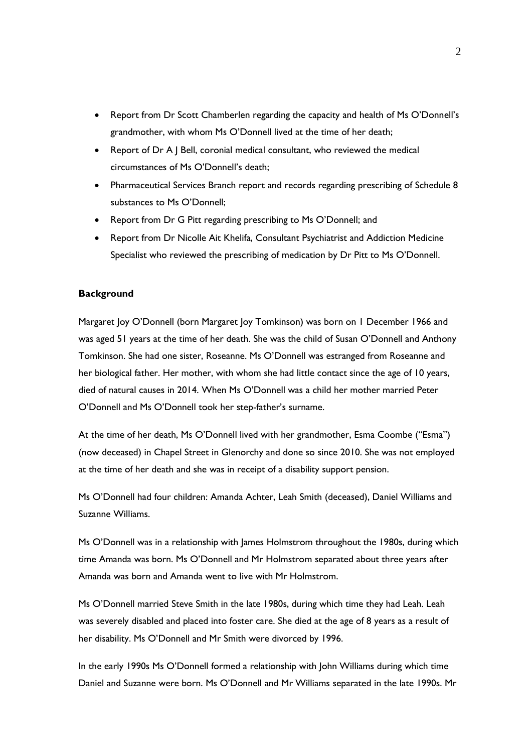- Report from Dr Scott Chamberlen regarding the capacity and health of Ms O'Donnell's grandmother, with whom Ms O'Donnell lived at the time of her death;
- Report of Dr A J Bell, coronial medical consultant, who reviewed the medical circumstances of Ms O'Donnell's death;
- Pharmaceutical Services Branch report and records regarding prescribing of Schedule 8 substances to Ms O'Donnell;
- Report from Dr G Pitt regarding prescribing to Ms O'Donnell; and
- Report from Dr Nicolle Ait Khelifa, Consultant Psychiatrist and Addiction Medicine Specialist who reviewed the prescribing of medication by Dr Pitt to Ms O'Donnell.

#### **Background**

Margaret Joy O'Donnell (born Margaret Joy Tomkinson) was born on 1 December 1966 and was aged 51 years at the time of her death. She was the child of Susan O'Donnell and Anthony Tomkinson. She had one sister, Roseanne. Ms O'Donnell was estranged from Roseanne and her biological father. Her mother, with whom she had little contact since the age of 10 years, died of natural causes in 2014. When Ms O'Donnell was a child her mother married Peter O'Donnell and Ms O'Donnell took her step-father's surname.

At the time of her death, Ms O'Donnell lived with her grandmother, Esma Coombe ("Esma") (now deceased) in Chapel Street in Glenorchy and done so since 2010. She was not employed at the time of her death and she was in receipt of a disability support pension.

Ms O'Donnell had four children: Amanda Achter, Leah Smith (deceased), Daniel Williams and Suzanne Williams.

Ms O'Donnell was in a relationship with James Holmstrom throughout the 1980s, during which time Amanda was born. Ms O'Donnell and Mr Holmstrom separated about three years after Amanda was born and Amanda went to live with Mr Holmstrom.

Ms O'Donnell married Steve Smith in the late 1980s, during which time they had Leah. Leah was severely disabled and placed into foster care. She died at the age of 8 years as a result of her disability. Ms O'Donnell and Mr Smith were divorced by 1996.

In the early 1990s Ms O'Donnell formed a relationship with John Williams during which time Daniel and Suzanne were born. Ms O'Donnell and Mr Williams separated in the late 1990s. Mr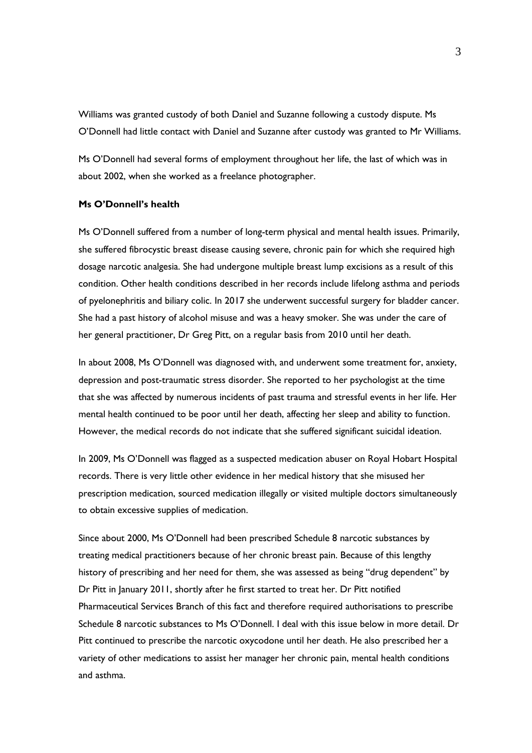Williams was granted custody of both Daniel and Suzanne following a custody dispute. Ms O'Donnell had little contact with Daniel and Suzanne after custody was granted to Mr Williams.

Ms O'Donnell had several forms of employment throughout her life, the last of which was in about 2002, when she worked as a freelance photographer.

#### **Ms O'Donnell's health**

Ms O'Donnell suffered from a number of long-term physical and mental health issues. Primarily, she suffered fibrocystic breast disease causing severe, chronic pain for which she required high dosage narcotic analgesia. She had undergone multiple breast lump excisions as a result of this condition. Other health conditions described in her records include lifelong asthma and periods of pyelonephritis and biliary colic. In 2017 she underwent successful surgery for bladder cancer. She had a past history of alcohol misuse and was a heavy smoker. She was under the care of her general practitioner, Dr Greg Pitt, on a regular basis from 2010 until her death.

In about 2008, Ms O'Donnell was diagnosed with, and underwent some treatment for, anxiety, depression and post-traumatic stress disorder. She reported to her psychologist at the time that she was affected by numerous incidents of past trauma and stressful events in her life. Her mental health continued to be poor until her death, affecting her sleep and ability to function. However, the medical records do not indicate that she suffered significant suicidal ideation.

In 2009, Ms O'Donnell was flagged as a suspected medication abuser on Royal Hobart Hospital records. There is very little other evidence in her medical history that she misused her prescription medication, sourced medication illegally or visited multiple doctors simultaneously to obtain excessive supplies of medication.

Since about 2000, Ms O'Donnell had been prescribed Schedule 8 narcotic substances by treating medical practitioners because of her chronic breast pain. Because of this lengthy history of prescribing and her need for them, she was assessed as being "drug dependent" by Dr Pitt in January 2011, shortly after he first started to treat her. Dr Pitt notified Pharmaceutical Services Branch of this fact and therefore required authorisations to prescribe Schedule 8 narcotic substances to Ms O'Donnell. I deal with this issue below in more detail. Dr Pitt continued to prescribe the narcotic oxycodone until her death. He also prescribed her a variety of other medications to assist her manager her chronic pain, mental health conditions and asthma.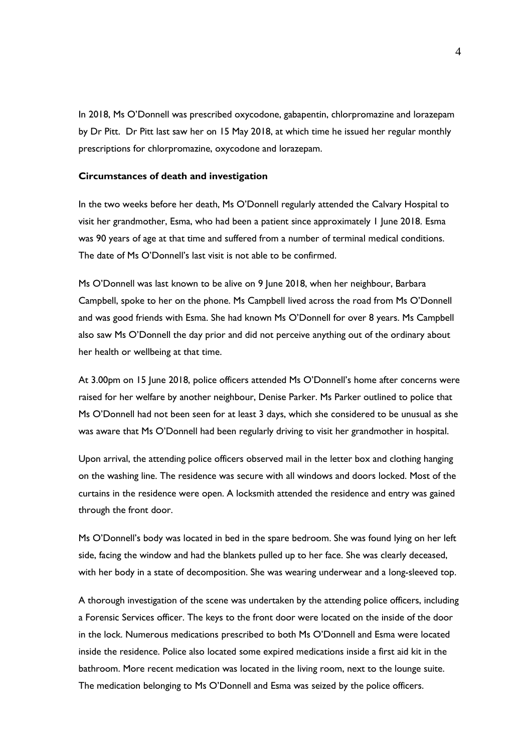In 2018, Ms O'Donnell was prescribed oxycodone, gabapentin, chlorpromazine and lorazepam by Dr Pitt. Dr Pitt last saw her on 15 May 2018, at which time he issued her regular monthly prescriptions for chlorpromazine, oxycodone and lorazepam.

#### **Circumstances of death and investigation**

In the two weeks before her death, Ms O'Donnell regularly attended the Calvary Hospital to visit her grandmother, Esma, who had been a patient since approximately 1 June 2018. Esma was 90 years of age at that time and suffered from a number of terminal medical conditions. The date of Ms O'Donnell's last visit is not able to be confirmed.

Ms O'Donnell was last known to be alive on 9 June 2018, when her neighbour, Barbara Campbell, spoke to her on the phone. Ms Campbell lived across the road from Ms O'Donnell and was good friends with Esma. She had known Ms O'Donnell for over 8 years. Ms Campbell also saw Ms O'Donnell the day prior and did not perceive anything out of the ordinary about her health or wellbeing at that time.

At 3.00pm on 15 June 2018, police officers attended Ms O'Donnell's home after concerns were raised for her welfare by another neighbour, Denise Parker. Ms Parker outlined to police that Ms O'Donnell had not been seen for at least 3 days, which she considered to be unusual as she was aware that Ms O'Donnell had been regularly driving to visit her grandmother in hospital.

Upon arrival, the attending police officers observed mail in the letter box and clothing hanging on the washing line. The residence was secure with all windows and doors locked. Most of the curtains in the residence were open. A locksmith attended the residence and entry was gained through the front door.

Ms O'Donnell's body was located in bed in the spare bedroom. She was found lying on her left side, facing the window and had the blankets pulled up to her face. She was clearly deceased, with her body in a state of decomposition. She was wearing underwear and a long-sleeved top.

A thorough investigation of the scene was undertaken by the attending police officers, including a Forensic Services officer. The keys to the front door were located on the inside of the door in the lock. Numerous medications prescribed to both Ms O'Donnell and Esma were located inside the residence. Police also located some expired medications inside a first aid kit in the bathroom. More recent medication was located in the living room, next to the lounge suite. The medication belonging to Ms O'Donnell and Esma was seized by the police officers.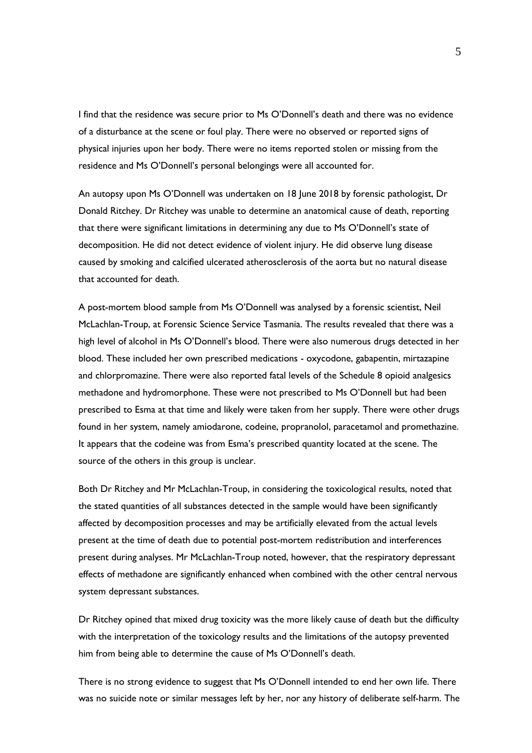I find that the residence was secure prior to Ms O'Donnell's death and there was no evidence of a disturbance at the scene or foul play. There were no observed or reported signs of physical injuries upon her body. There were no items reported stolen or missing from the residence and Ms O'Donnell's personal belongings were all accounted for.

An autopsy upon Ms O'Donnell was undertaken on 18 June 2018 by forensic pathologist, Dr Donald Ritchey. Dr Ritchey was unable to determine an anatomical cause of death, reporting that there were significant limitations in determining any due to Ms O'Donnell's state of decomposition. He did not detect evidence of violent injury. He did observe lung disease caused by smoking and calcified ulcerated atherosclerosis of the aorta but no natural disease that accounted for death.

A post-mortem blood sample from Ms O'Donnell was analysed by a forensic scientist, Neil McLachlan-Troup, at Forensic Science Service Tasmania. The results revealed that there was a high level of alcohol in Ms O'Donnell's blood. There were also numerous drugs detected in her blood. These included her own prescribed medications - oxycodone, gabapentin, mirtazapine and chlorpromazine. There were also reported fatal levels of the Schedule 8 opioid analgesics methadone and hydromorphone. These were not prescribed to Ms O'Donnell but had been prescribed to Esma at that time and likely were taken from her supply. There were other drugs found in her system, namely amiodarone, codeine, propranolol, paracetamol and promethazine. It appears that the codeine was from Esma's prescribed quantity located at the scene. The source of the others in this group is unclear.

Both Dr Ritchey and Mr McLachlan-Troup, in considering the toxicological results, noted that the stated quantities of all substances detected in the sample would have been significantly affected by decomposition processes and may be artificially elevated from the actual levels present at the time of death due to potential post-mortem redistribution and interferences present during analyses. Mr McLachlan-Troup noted, however, that the respiratory depressant effects of methadone are significantly enhanced when combined with the other central nervous system depressant substances.

Dr Ritchey opined that mixed drug toxicity was the more likely cause of death but the difficulty with the interpretation of the toxicology results and the limitations of the autopsy prevented him from being able to determine the cause of Ms O'Donnell's death.

There is no strong evidence to suggest that Ms O'Donnell intended to end her own life. There was no suicide note or similar messages left by her, nor any history of deliberate self-harm. The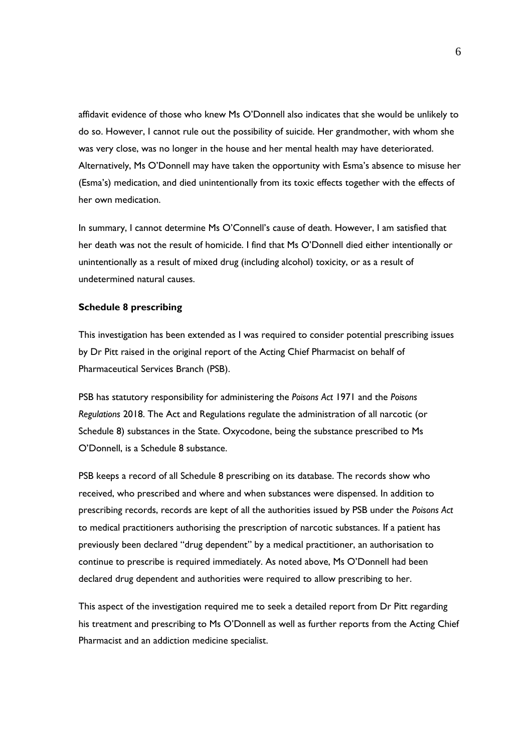affidavit evidence of those who knew Ms O'Donnell also indicates that she would be unlikely to do so. However, I cannot rule out the possibility of suicide. Her grandmother, with whom she was very close, was no longer in the house and her mental health may have deteriorated. Alternatively, Ms O'Donnell may have taken the opportunity with Esma's absence to misuse her (Esma's) medication, and died unintentionally from its toxic effects together with the effects of her own medication.

In summary, I cannot determine Ms O'Connell's cause of death. However, I am satisfied that her death was not the result of homicide. I find that Ms O'Donnell died either intentionally or unintentionally as a result of mixed drug (including alcohol) toxicity, or as a result of undetermined natural causes.

#### **Schedule 8 prescribing**

This investigation has been extended as I was required to consider potential prescribing issues by Dr Pitt raised in the original report of the Acting Chief Pharmacist on behalf of Pharmaceutical Services Branch (PSB).

PSB has statutory responsibility for administering the *Poisons Act* 1971 and the *Poisons Regulations* 2018. The Act and Regulations regulate the administration of all narcotic (or Schedule 8) substances in the State. Oxycodone, being the substance prescribed to Ms O'Donnell, is a Schedule 8 substance.

PSB keeps a record of all Schedule 8 prescribing on its database. The records show who received, who prescribed and where and when substances were dispensed. In addition to prescribing records, records are kept of all the authorities issued by PSB under the *Poisons Act* to medical practitioners authorising the prescription of narcotic substances. If a patient has previously been declared "drug dependent" by a medical practitioner, an authorisation to continue to prescribe is required immediately. As noted above, Ms O'Donnell had been declared drug dependent and authorities were required to allow prescribing to her.

This aspect of the investigation required me to seek a detailed report from Dr Pitt regarding his treatment and prescribing to Ms O'Donnell as well as further reports from the Acting Chief Pharmacist and an addiction medicine specialist.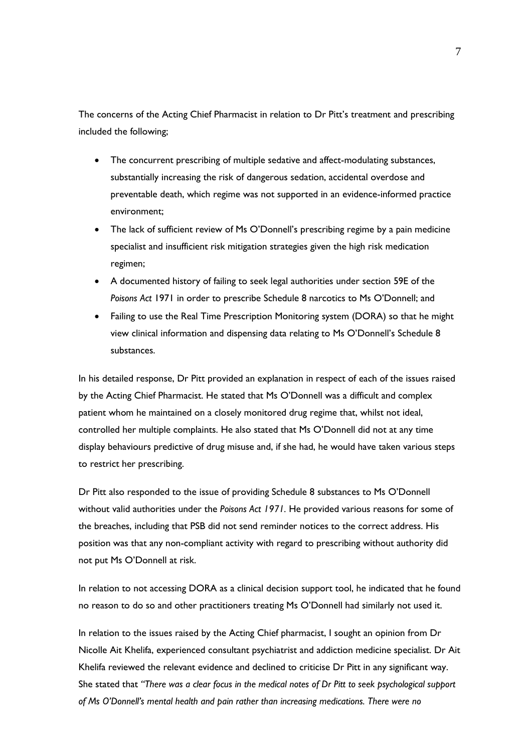The concerns of the Acting Chief Pharmacist in relation to Dr Pitt's treatment and prescribing included the following;

- The concurrent prescribing of multiple sedative and affect-modulating substances, substantially increasing the risk of dangerous sedation, accidental overdose and preventable death, which regime was not supported in an evidence-informed practice environment;
- The lack of sufficient review of Ms O'Donnell's prescribing regime by a pain medicine specialist and insufficient risk mitigation strategies given the high risk medication regimen;
- A documented history of failing to seek legal authorities under section 59E of the *Poisons Act* 1971 in order to prescribe Schedule 8 narcotics to Ms O'Donnell; and
- Failing to use the Real Time Prescription Monitoring system (DORA) so that he might view clinical information and dispensing data relating to Ms O'Donnell's Schedule 8 substances.

In his detailed response, Dr Pitt provided an explanation in respect of each of the issues raised by the Acting Chief Pharmacist. He stated that Ms O'Donnell was a difficult and complex patient whom he maintained on a closely monitored drug regime that, whilst not ideal, controlled her multiple complaints. He also stated that Ms O'Donnell did not at any time display behaviours predictive of drug misuse and, if she had, he would have taken various steps to restrict her prescribing.

Dr Pitt also responded to the issue of providing Schedule 8 substances to Ms O'Donnell without valid authorities under the *Poisons Act 1971.* He provided various reasons for some of the breaches, including that PSB did not send reminder notices to the correct address. His position was that any non-compliant activity with regard to prescribing without authority did not put Ms O'Donnell at risk.

In relation to not accessing DORA as a clinical decision support tool, he indicated that he found no reason to do so and other practitioners treating Ms O'Donnell had similarly not used it.

In relation to the issues raised by the Acting Chief pharmacist, I sought an opinion from Dr Nicolle Ait Khelifa, experienced consultant psychiatrist and addiction medicine specialist. Dr Ait Khelifa reviewed the relevant evidence and declined to criticise Dr Pitt in any significant way. She stated that *"There was a clear focus in the medical notes of Dr Pitt to seek psychological support of Ms O'Donnell's mental health and pain rather than increasing medications. There were no*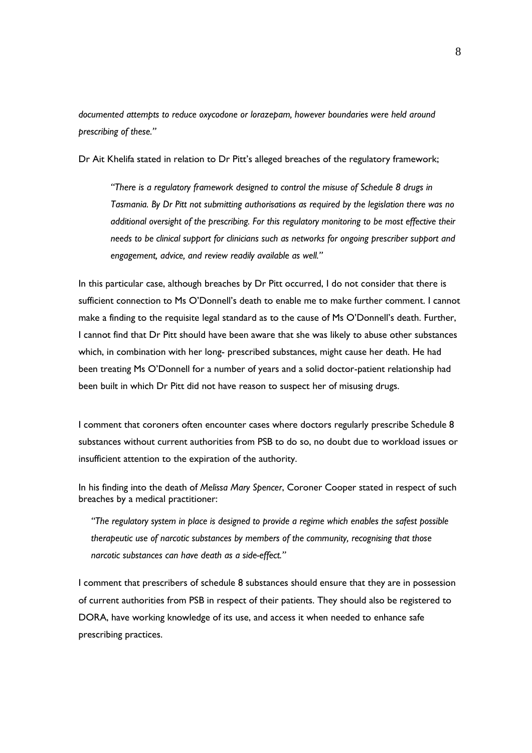*documented attempts to reduce oxycodone or lorazepam, however boundaries were held around prescribing of these."*

Dr Ait Khelifa stated in relation to Dr Pitt's alleged breaches of the regulatory framework;

*"There is a regulatory framework designed to control the misuse of Schedule 8 drugs in Tasmania. By Dr Pitt not submitting authorisations as required by the legislation there was no additional oversight of the prescribing. For this regulatory monitoring to be most effective their needs to be clinical support for clinicians such as networks for ongoing prescriber support and engagement, advice, and review readily available as well."*

In this particular case, although breaches by Dr Pitt occurred, I do not consider that there is sufficient connection to Ms O'Donnell's death to enable me to make further comment. I cannot make a finding to the requisite legal standard as to the cause of Ms O'Donnell's death. Further, I cannot find that Dr Pitt should have been aware that she was likely to abuse other substances which, in combination with her long- prescribed substances, might cause her death. He had been treating Ms O'Donnell for a number of years and a solid doctor-patient relationship had been built in which Dr Pitt did not have reason to suspect her of misusing drugs.

I comment that coroners often encounter cases where doctors regularly prescribe Schedule 8 substances without current authorities from PSB to do so, no doubt due to workload issues or insufficient attention to the expiration of the authority.

In his finding into the death of *Melissa Mary Spencer*, Coroner Cooper stated in respect of such breaches by a medical practitioner:

*"The regulatory system in place is designed to provide a regime which enables the safest possible therapeutic use of narcotic substances by members of the community, recognising that those narcotic substances can have death as a side-effect."* 

I comment that prescribers of schedule 8 substances should ensure that they are in possession of current authorities from PSB in respect of their patients. They should also be registered to DORA, have working knowledge of its use, and access it when needed to enhance safe prescribing practices.